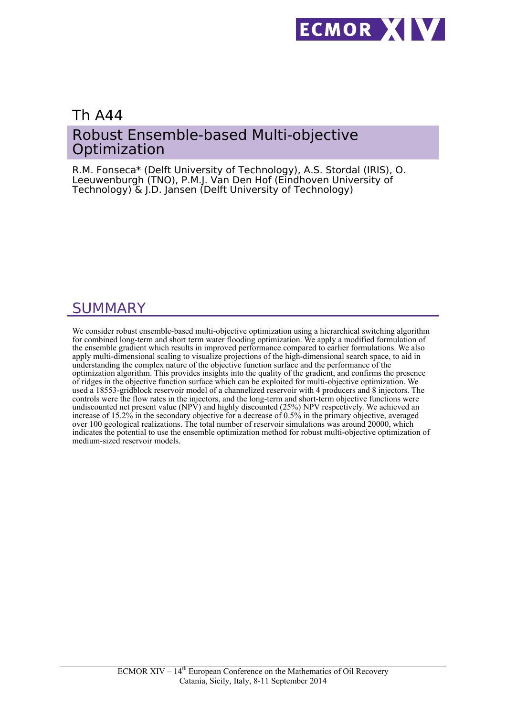

## Th A44 Robust Ensemble-based Multi-objective **Optimization**

R.M. Fonseca\* (Delft University of Technology), A.S. Stordal (IRIS), O. Leeuwenburgh (TNO), P.M.J. Van Den Hof (Eindhoven University of Technology) & J.D. Jansen (Delft University of Technology)

# SUMMARY

We consider robust ensemble-based multi-objective optimization using a hierarchical switching algorithm for combined long-term and short term water flooding optimization. We apply a modified formulation of the ensemble gradient which results in improved performance compared to earlier formulations. We also apply multi-dimensional scaling to visualize projections of the high-dimensional search space, to aid in understanding the complex nature of the objective function surface and the performance of the optimization algorithm. This provides insights into the quality of the gradient, and confirms the presence of ridges in the objective function surface which can be exploited for multi-objective optimization. We used a 18553-gridblock reservoir model of a channelized reservoir with 4 producers and 8 injectors. The controls were the flow rates in the injectors, and the long-term and short-term objective functions were undiscounted net present value (NPV) and highly discounted (25%) NPV respectively. We achieved an increase of 15.2% in the secondary objective for a decrease of 0.5% in the primary objective, averaged over 100 geological realizations. The total number of reservoir simulations was around 20000, which indicates the potential to use the ensemble optimization method for robust multi-objective optimization of medium-sized reservoir models.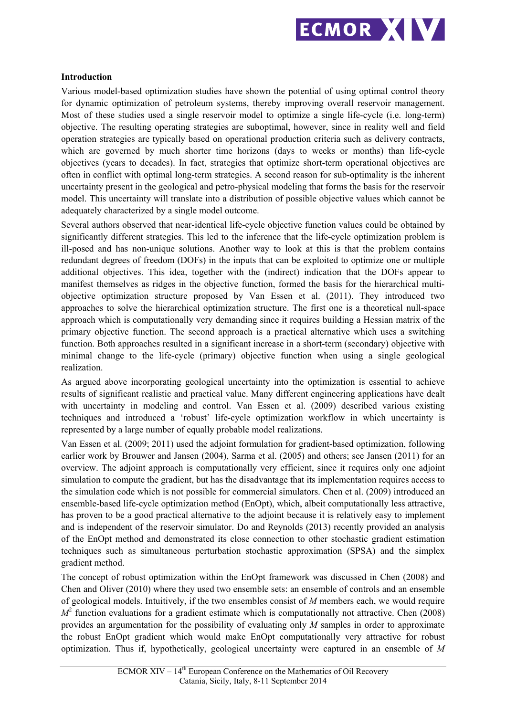

## **Introduction**

Various model-based optimization studies have shown the potential of using optimal control theory for dynamic optimization of petroleum systems, thereby improving overall reservoir management. Most of these studies used a single reservoir model to optimize a single life-cycle (i.e. long-term) objective. The resulting operating strategies are suboptimal, however, since in reality well and field operation strategies are typically based on operational production criteria such as delivery contracts, which are governed by much shorter time horizons (days to weeks or months) than life-cycle objectives (years to decades). In fact, strategies that optimize short-term operational objectives are often in conflict with optimal long-term strategies. A second reason for sub-optimality is the inherent uncertainty present in the geological and petro-physical modeling that forms the basis for the reservoir model. This uncertainty will translate into a distribution of possible objective values which cannot be adequately characterized by a single model outcome.

Several authors observed that near-identical life-cycle objective function values could be obtained by significantly different strategies. This led to the inference that the life-cycle optimization problem is ill-posed and has non-unique solutions. Another way to look at this is that the problem contains redundant degrees of freedom (DOFs) in the inputs that can be exploited to optimize one or multiple additional objectives. This idea, together with the (indirect) indication that the DOFs appear to manifest themselves as ridges in the objective function, formed the basis for the hierarchical multiobjective optimization structure proposed by Van Essen et al. (2011). They introduced two approaches to solve the hierarchical optimization structure. The first one is a theoretical null-space approach which is computationally very demanding since it requires building a Hessian matrix of the primary objective function. The second approach is a practical alternative which uses a switching function. Both approaches resulted in a significant increase in a short-term (secondary) objective with minimal change to the life-cycle (primary) objective function when using a single geological realization.

As argued above incorporating geological uncertainty into the optimization is essential to achieve results of significant realistic and practical value. Many different engineering applications have dealt with uncertainty in modeling and control. Van Essen et al. (2009) described various existing techniques and introduced a 'robust' life-cycle optimization workflow in which uncertainty is represented by a large number of equally probable model realizations.

Van Essen et al. (2009; 2011) used the adjoint formulation for gradient-based optimization, following earlier work by Brouwer and Jansen (2004), Sarma et al. (2005) and others; see Jansen (2011) for an overview. The adjoint approach is computationally very efficient, since it requires only one adjoint simulation to compute the gradient, but has the disadvantage that its implementation requires access to the simulation code which is not possible for commercial simulators. Chen et al. (2009) introduced an ensemble-based life-cycle optimization method (EnOpt), which, albeit computationally less attractive, has proven to be a good practical alternative to the adjoint because it is relatively easy to implement and is independent of the reservoir simulator. Do and Reynolds (2013) recently provided an analysis of the EnOpt method and demonstrated its close connection to other stochastic gradient estimation techniques such as simultaneous perturbation stochastic approximation (SPSA) and the simplex gradient method.

The concept of robust optimization within the EnOpt framework was discussed in Chen (2008) and Chen and Oliver (2010) where they used two ensemble sets: an ensemble of controls and an ensemble of geological models. Intuitively, if the two ensembles consist of *M* members each, we would require  $M<sup>2</sup>$  function evaluations for a gradient estimate which is computationally not attractive. Chen (2008) provides an argumentation for the possibility of evaluating only *M* samples in order to approximate the robust EnOpt gradient which would make EnOpt computationally very attractive for robust optimization. Thus if, hypothetically, geological uncertainty were captured in an ensemble of *M*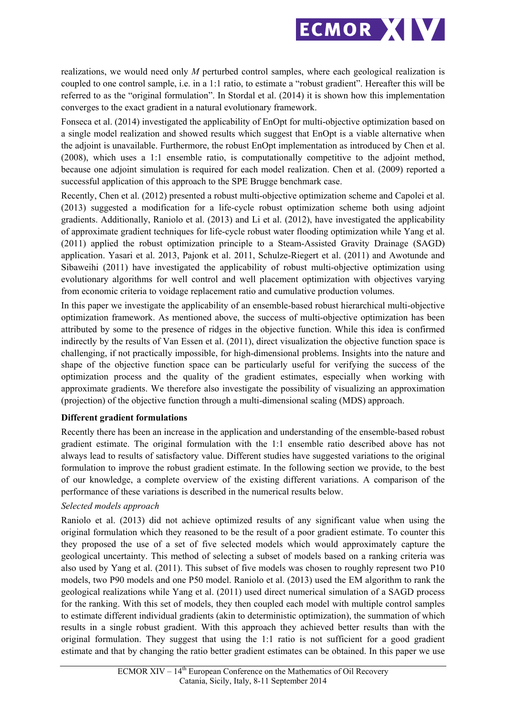

realizations, we would need only *M* perturbed control samples, where each geological realization is coupled to one control sample, i.e. in a 1:1 ratio, to estimate a "robust gradient". Hereafter this will be referred to as the "original formulation". In Stordal et al. (2014) it is shown how this implementation converges to the exact gradient in a natural evolutionary framework.

Fonseca et al. (2014) investigated the applicability of EnOpt for multi-objective optimization based on a single model realization and showed results which suggest that EnOpt is a viable alternative when the adjoint is unavailable. Furthermore, the robust EnOpt implementation as introduced by Chen et al. (2008), which uses a 1:1 ensemble ratio, is computationally competitive to the adjoint method, because one adjoint simulation is required for each model realization. Chen et al. (2009) reported a successful application of this approach to the SPE Brugge benchmark case.

Recently, Chen et al. (2012) presented a robust multi-objective optimization scheme and Capolei et al. (2013) suggested a modification for a life-cycle robust optimization scheme both using adjoint gradients. Additionally, Raniolo et al. (2013) and Li et al. (2012), have investigated the applicability of approximate gradient techniques for life-cycle robust water flooding optimization while Yang et al. (2011) applied the robust optimization principle to a Steam-Assisted Gravity Drainage (SAGD) application. Yasari et al. 2013, Pajonk et al. 2011, Schulze-Riegert et al. (2011) and Awotunde and Sibaweihi (2011) have investigated the applicability of robust multi-objective optimization using evolutionary algorithms for well control and well placement optimization with objectives varying from economic criteria to voidage replacement ratio and cumulative production volumes.

In this paper we investigate the applicability of an ensemble-based robust hierarchical multi-objective optimization framework. As mentioned above, the success of multi-objective optimization has been attributed by some to the presence of ridges in the objective function. While this idea is confirmed indirectly by the results of Van Essen et al. (2011), direct visualization the objective function space is challenging, if not practically impossible, for high-dimensional problems. Insights into the nature and shape of the objective function space can be particularly useful for verifying the success of the optimization process and the quality of the gradient estimates, especially when working with approximate gradients. We therefore also investigate the possibility of visualizing an approximation (projection) of the objective function through a multi-dimensional scaling (MDS) approach.

## **Different gradient formulations**

Recently there has been an increase in the application and understanding of the ensemble-based robust gradient estimate. The original formulation with the 1:1 ensemble ratio described above has not always lead to results of satisfactory value. Different studies have suggested variations to the original formulation to improve the robust gradient estimate. In the following section we provide, to the best of our knowledge, a complete overview of the existing different variations. A comparison of the performance of these variations is described in the numerical results below.

## *Selected models approach*

Raniolo et al. (2013) did not achieve optimized results of any significant value when using the original formulation which they reasoned to be the result of a poor gradient estimate. To counter this they proposed the use of a set of five selected models which would approximately capture the geological uncertainty. This method of selecting a subset of models based on a ranking criteria was also used by Yang et al. (2011). This subset of five models was chosen to roughly represent two P10 models, two P90 models and one P50 model. Raniolo et al. (2013) used the EM algorithm to rank the geological realizations while Yang et al. (2011) used direct numerical simulation of a SAGD process for the ranking. With this set of models, they then coupled each model with multiple control samples to estimate different individual gradients (akin to deterministic optimization), the summation of which results in a single robust gradient. With this approach they achieved better results than with the original formulation. They suggest that using the 1:1 ratio is not sufficient for a good gradient estimate and that by changing the ratio better gradient estimates can be obtained. In this paper we use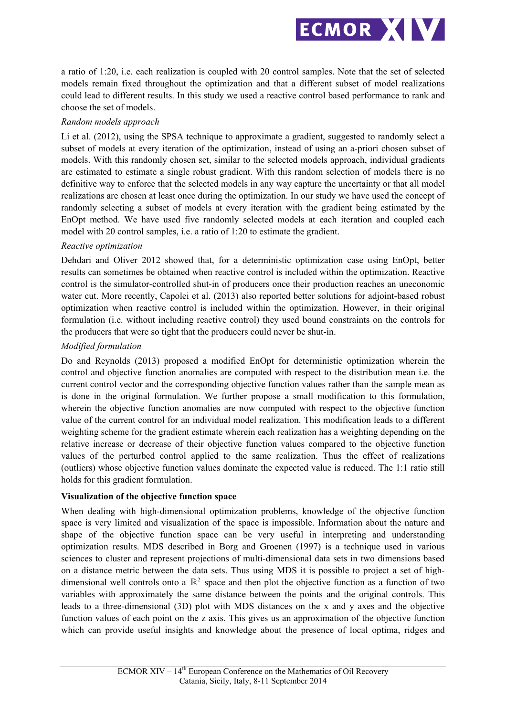

a ratio of 1:20, i.e. each realization is coupled with 20 control samples. Note that the set of selected models remain fixed throughout the optimization and that a different subset of model realizations could lead to different results. In this study we used a reactive control based performance to rank and choose the set of models.

## *Random models approach*

Li et al. (2012), using the SPSA technique to approximate a gradient, suggested to randomly select a subset of models at every iteration of the optimization, instead of using an a-priori chosen subset of models. With this randomly chosen set, similar to the selected models approach, individual gradients are estimated to estimate a single robust gradient. With this random selection of models there is no definitive way to enforce that the selected models in any way capture the uncertainty or that all model realizations are chosen at least once during the optimization. In our study we have used the concept of randomly selecting a subset of models at every iteration with the gradient being estimated by the EnOpt method. We have used five randomly selected models at each iteration and coupled each model with 20 control samples, i.e. a ratio of 1:20 to estimate the gradient.

## *Reactive optimization*

Dehdari and Oliver 2012 showed that, for a deterministic optimization case using EnOpt, better results can sometimes be obtained when reactive control is included within the optimization. Reactive control is the simulator-controlled shut-in of producers once their production reaches an uneconomic water cut. More recently, Capolei et al. (2013) also reported better solutions for adjoint-based robust optimization when reactive control is included within the optimization. However, in their original formulation (i.e. without including reactive control) they used bound constraints on the controls for the producers that were so tight that the producers could never be shut-in.

## *Modified formulation*

Do and Reynolds (2013) proposed a modified EnOpt for deterministic optimization wherein the control and objective function anomalies are computed with respect to the distribution mean i.e. the current control vector and the corresponding objective function values rather than the sample mean as is done in the original formulation. We further propose a small modification to this formulation, wherein the objective function anomalies are now computed with respect to the objective function value of the current control for an individual model realization. This modification leads to a different weighting scheme for the gradient estimate wherein each realization has a weighting depending on the relative increase or decrease of their objective function values compared to the objective function values of the perturbed control applied to the same realization. Thus the effect of realizations (outliers) whose objective function values dominate the expected value is reduced. The 1:1 ratio still holds for this gradient formulation.

## **Visualization of the objective function space**

When dealing with high-dimensional optimization problems, knowledge of the objective function space is very limited and visualization of the space is impossible. Information about the nature and shape of the objective function space can be very useful in interpreting and understanding optimization results. MDS described in Borg and Groenen (1997) is a technique used in various sciences to cluster and represent projections of multi-dimensional data sets in two dimensions based on a distance metric between the data sets. Thus using MDS it is possible to project a set of highdimensional well controls onto a  $\mathbb{R}^2$  space and then plot the objective function as a function of two variables with approximately the same distance between the points and the original controls. This leads to a three-dimensional (3D) plot with MDS distances on the x and y axes and the objective function values of each point on the z axis. This gives us an approximation of the objective function which can provide useful insights and knowledge about the presence of local optima, ridges and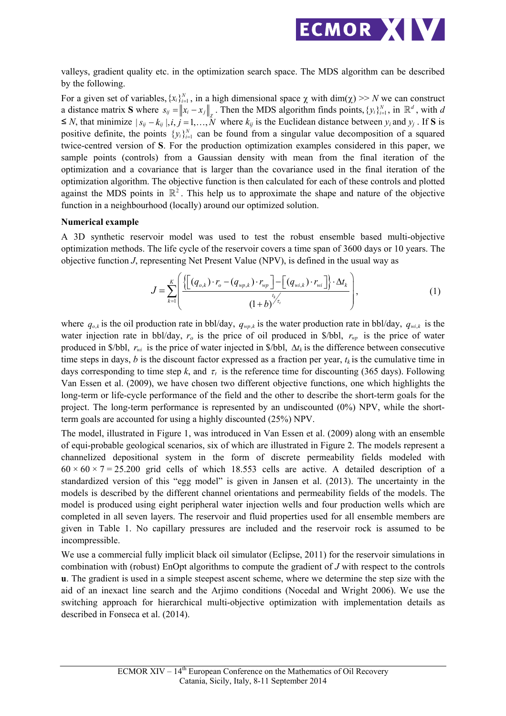

valleys, gradient quality etc. in the optimization search space. The MDS algorithm can be described by the following.

For a given set of variables,  $\{x_i\}_{i=1}^N$ , in a high dimensional space  $\chi$  with dim( $\chi$ ) >> *N* we can construct a distance matrix **S** where  $s_{ij} = ||x_i - x_j||_z$ . Then the MDS algorithm finds points,  $\{y_i\}_{i=1}^N$ , in  $\mathbb{R}^d$ , with *d*  $\leq N$ , that minimize  $|s_{ij} - k_{ij}|, i, j = 1, \dots, N$  where  $k_{ij}$  is the Euclidean distance between  $y_i$  and  $y_j$ . If **S** is positive definite, the points  ${y_i}_{i=1}^N$  can be found from a singular value decomposition of a squared twice-centred version of **S**. For the production optimization examples considered in this paper, we sample points (controls) from a Gaussian density with mean from the final iteration of the optimization and a covariance that is larger than the covariance used in the final iteration of the optimization algorithm. The objective function is then calculated for each of these controls and plotted against the MDS points in  $\mathbb{R}^2$ . This help us to approximate the shape and nature of the objective function in a neighbourhood (locally) around our optimized solution.

#### **Numerical example**

A 3D synthetic reservoir model was used to test the robust ensemble based multi-objective optimization methods. The life cycle of the reservoir covers a time span of 3600 days or 10 years. The objective function *J*, representing Net Present Value (NPV), is defined in the usual way as

$$
J = \sum_{k=1}^{K} \left( \frac{\left\{ \left[ \left( q_{o,k} \right) \cdot r_o - \left( q_{wp,k} \right) \cdot r_{wp} \right] - \left[ \left( q_{wi,k} \right) \cdot r_{wi} \right] \right\} \cdot \Delta t_k}{\left( 1 + b \right)^{t_{\tau}}} \right), \tag{1}
$$

where  $q_{o,k}$  is the oil production rate in bbl/day,  $q_{wp,k}$  is the water production rate in bbl/day,  $q_{wi,k}$  is the water injection rate in bbl/day,  $r_o$  is the price of oil produced in  $\delta/bbl$ ,  $r_{wp}$  is the price of water produced in  $\phi$ /bbl,  $r_{wi}$  is the price of water injected in  $\phi$ /bbl,  $\Delta t_k$  is the difference between consecutive time steps in days, *b* is the discount factor expressed as a fraction per year,  $t_k$  is the cumulative time in days corresponding to time step  $k$ , and  $\tau_i$  is the reference time for discounting (365 days). Following Van Essen et al. (2009), we have chosen two different objective functions, one which highlights the long-term or life-cycle performance of the field and the other to describe the short-term goals for the project. The long-term performance is represented by an undiscounted (0%) NPV, while the shortterm goals are accounted for using a highly discounted (25%) NPV.

The model, illustrated in Figure 1, was introduced in Van Essen et al. (2009) along with an ensemble of equi-probable geological scenarios, six of which are illustrated in Figure 2. The models represent a channelized depositional system in the form of discrete permeability fields modeled with  $60 \times 60 \times 7 = 25.200$  grid cells of which 18.553 cells are active. A detailed description of a standardized version of this "egg model" is given in Jansen et al. (2013). The uncertainty in the models is described by the different channel orientations and permeability fields of the models. The model is produced using eight peripheral water injection wells and four production wells which are completed in all seven layers. The reservoir and fluid properties used for all ensemble members are given in Table 1. No capillary pressures are included and the reservoir rock is assumed to be incompressible.

We use a commercial fully implicit black oil simulator (Eclipse, 2011) for the reservoir simulations in combination with (robust) EnOpt algorithms to compute the gradient of *J* with respect to the controls **u**. The gradient is used in a simple steepest ascent scheme, where we determine the step size with the aid of an inexact line search and the Arjimo conditions (Nocedal and Wright 2006). We use the switching approach for hierarchical multi-objective optimization with implementation details as described in Fonseca et al. (2014).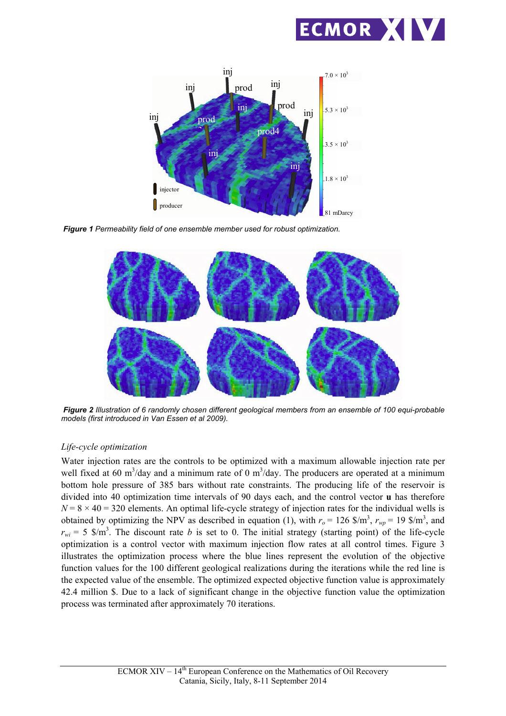



*Figure 1 Permeability field of one ensemble member used for robust optimization.*



*Figure 2 Illustration of 6 randomly chosen different geological members from an ensemble of 100 equi-probable models (first introduced in Van Essen et al 2009).*

## *Life-cycle optimization*

Water injection rates are the controls to be optimized with a maximum allowable injection rate per well fixed at 60 m<sup>3</sup>/day and a minimum rate of 0 m<sup>3</sup>/day. The producers are operated at a minimum bottom hole pressure of 385 bars without rate constraints. The producing life of the reservoir is divided into 40 optimization time intervals of 90 days each, and the control vector **u** has therefore  $N = 8 \times 40 = 320$  elements. An optimal life-cycle strategy of injection rates for the individual wells is obtained by optimizing the NPV as described in equation (1), with  $r_o = 126$  \$/m<sup>3</sup>,  $r_{wp} = 19$  \$/m<sup>3</sup>, and  $r_{wi}$  = 5 \$/m<sup>3</sup>. The discount rate *b* is set to 0. The initial strategy (starting point) of the life-cycle optimization is a control vector with maximum injection flow rates at all control times. Figure 3 illustrates the optimization process where the blue lines represent the evolution of the objective function values for the 100 different geological realizations during the iterations while the red line is the expected value of the ensemble. The optimized expected objective function value is approximately 42.4 million \$. Due to a lack of significant change in the objective function value the optimization process was terminated after approximately 70 iterations.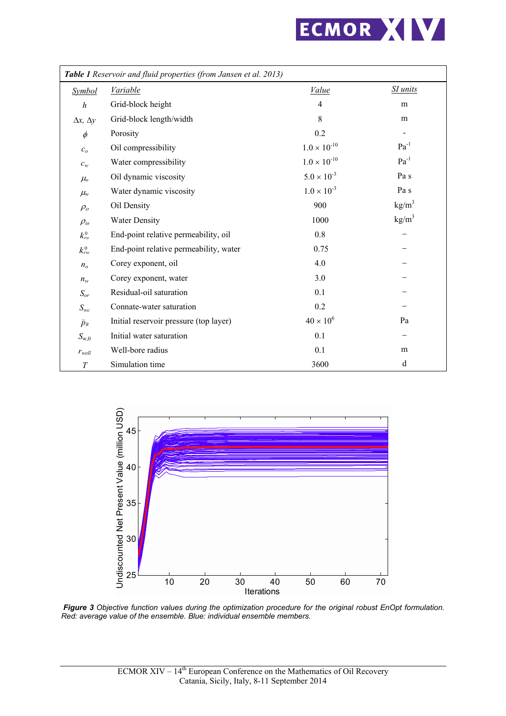

| Table 1 Reservoir and fluid properties (from Jansen et al. 2013) |                                        |                       |                 |
|------------------------------------------------------------------|----------------------------------------|-----------------------|-----------------|
| <b>Symbol</b>                                                    | <b>Variable</b>                        | <i>Value</i>          | <b>SI</b> units |
| $\boldsymbol{h}$                                                 | Grid-block height                      | $\overline{4}$        | m               |
| $\Delta x, \Delta y$                                             | Grid-block length/width                | 8                     | m               |
| $\phi$                                                           | Porosity                               | 0.2                   |                 |
| c <sub>o</sub>                                                   | Oil compressibility                    | $1.0 \times 10^{-10}$ | $Pa^{-1}$       |
| $c_w$                                                            | Water compressibility                  | $1.0 \times 10^{-10}$ | $Pa^{-1}$       |
| $\mu_{o}$                                                        | Oil dynamic viscosity                  | $5.0 \times 10^{-3}$  | Pa s            |
| $\mu_{w}$                                                        | Water dynamic viscosity                | $1.0 \times 10^{-3}$  | Pa s            |
| $\rho_o$                                                         | Oil Density                            | 900                   | $\text{kg/m}^3$ |
| $\rho_{\omega}$                                                  | <b>Water Density</b>                   | 1000                  | $\text{kg/m}^3$ |
| $k_{ro}^0$                                                       | End-point relative permeability, oil   | 0.8                   |                 |
| $k_{rw}^0$                                                       | End-point relative permeability, water | 0.75                  |                 |
| $n_{o}$                                                          | Corey exponent, oil                    | 4.0                   |                 |
| $n_w$                                                            | Corey exponent, water                  | 3.0                   |                 |
| $S_{or}$                                                         | Residual-oil saturation                | 0.1                   |                 |
| $S_{wc}$                                                         | Connate-water saturation               | 0.2                   |                 |
| $\widetilde{p}_R$                                                | Initial reservoir pressure (top layer) | $40 \times 10^6$      | Pa              |
| $S_{\rm w,0}$                                                    | Initial water saturation               | 0.1                   |                 |
| $r_{well}$                                                       | Well-bore radius                       | 0.1                   | m               |
| $\boldsymbol{T}$                                                 | Simulation time                        | 3600                  | d               |



*Figure 3 Objective function values during the optimization procedure for the original robust EnOpt formulation. Red: average value of the ensemble. Blue: individual ensemble members.*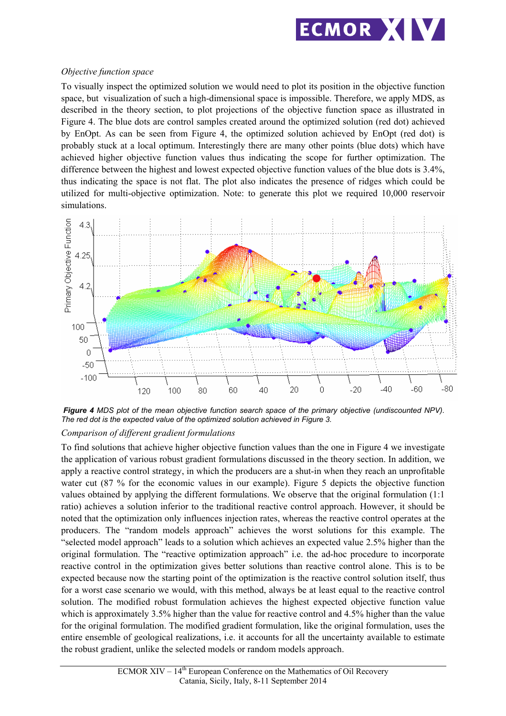

## *Objective function space*

To visually inspect the optimized solution we would need to plot its position in the objective function space, but visualization of such a high-dimensional space is impossible. Therefore, we apply MDS, as described in the theory section, to plot projections of the objective function space as illustrated in Figure 4. The blue dots are control samples created around the optimized solution (red dot) achieved by EnOpt. As can be seen from Figure 4, the optimized solution achieved by EnOpt (red dot) is probably stuck at a local optimum. Interestingly there are many other points (blue dots) which have achieved higher objective function values thus indicating the scope for further optimization. The difference between the highest and lowest expected objective function values of the blue dots is 3.4%, thus indicating the space is not flat. The plot also indicates the presence of ridges which could be utilized for multi-objective optimization. Note: to generate this plot we required 10,000 reservoir simulations.



*Figure 4 MDS plot of the mean objective function search space of the primary objective (undiscounted NPV). The red dot is the expected value of the optimized solution achieved in Figure 3.*

## *Comparison of different gradient formulations*

To find solutions that achieve higher objective function values than the one in Figure 4 we investigate the application of various robust gradient formulations discussed in the theory section. In addition, we apply a reactive control strategy, in which the producers are a shut-in when they reach an unprofitable water cut (87 % for the economic values in our example). Figure 5 depicts the objective function values obtained by applying the different formulations. We observe that the original formulation (1:1 ratio) achieves a solution inferior to the traditional reactive control approach. However, it should be noted that the optimization only influences injection rates, whereas the reactive control operates at the producers. The "random models approach" achieves the worst solutions for this example. The "selected model approach" leads to a solution which achieves an expected value 2.5% higher than the original formulation. The "reactive optimization approach" i.e. the ad-hoc procedure to incorporate reactive control in the optimization gives better solutions than reactive control alone. This is to be expected because now the starting point of the optimization is the reactive control solution itself, thus for a worst case scenario we would, with this method, always be at least equal to the reactive control solution. The modified robust formulation achieves the highest expected objective function value which is approximately 3.5% higher than the value for reactive control and 4.5% higher than the value for the original formulation. The modified gradient formulation, like the original formulation, uses the entire ensemble of geological realizations, i.e. it accounts for all the uncertainty available to estimate the robust gradient, unlike the selected models or random models approach.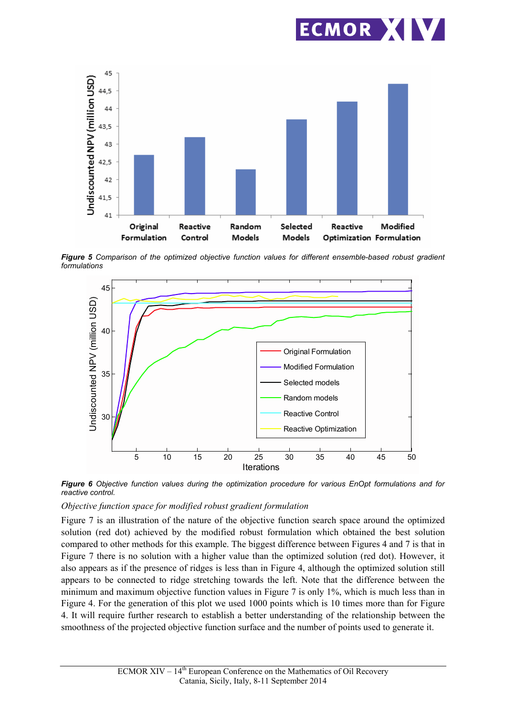



*Figure 5 Comparison of the optimized objective function values for different ensemble-based robust gradient formulations*



*Figure 6 Objective function values during the optimization procedure for various EnOpt formulations and for reactive control.*

#### *Objective function space for modified robust gradient formulation*

Figure 7 is an illustration of the nature of the objective function search space around the optimized solution (red dot) achieved by the modified robust formulation which obtained the best solution compared to other methods for this example. The biggest difference between Figures 4 and 7 is that in Figure 7 there is no solution with a higher value than the optimized solution (red dot). However, it also appears as if the presence of ridges is less than in Figure 4, although the optimized solution still appears to be connected to ridge stretching towards the left. Note that the difference between the minimum and maximum objective function values in Figure 7 is only 1%, which is much less than in Figure 4. For the generation of this plot we used 1000 points which is 10 times more than for Figure 4. It will require further research to establish a better understanding of the relationship between the smoothness of the projected objective function surface and the number of points used to generate it.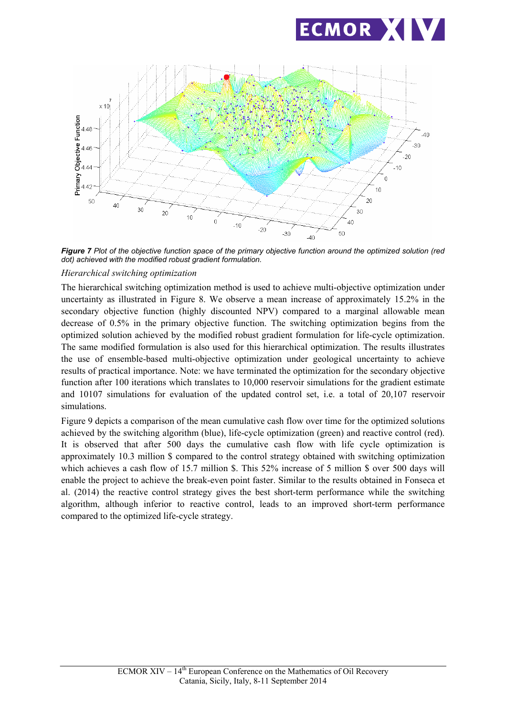



*Figure 7 Plot of the objective function space of the primary objective function around the optimized solution (red dot) achieved with the modified robust gradient formulation.*

#### *Hierarchical switching optimization*

The hierarchical switching optimization method is used to achieve multi-objective optimization under uncertainty as illustrated in Figure 8. We observe a mean increase of approximately 15.2% in the secondary objective function (highly discounted NPV) compared to a marginal allowable mean decrease of 0.5% in the primary objective function. The switching optimization begins from the optimized solution achieved by the modified robust gradient formulation for life-cycle optimization. The same modified formulation is also used for this hierarchical optimization. The results illustrates the use of ensemble-based multi-objective optimization under geological uncertainty to achieve results of practical importance. Note: we have terminated the optimization for the secondary objective function after 100 iterations which translates to 10,000 reservoir simulations for the gradient estimate and 10107 simulations for evaluation of the updated control set, i.e. a total of 20,107 reservoir simulations.

Figure 9 depicts a comparison of the mean cumulative cash flow over time for the optimized solutions achieved by the switching algorithm (blue), life-cycle optimization (green) and reactive control (red). It is observed that after 500 days the cumulative cash flow with life cycle optimization is approximately 10.3 million \$ compared to the control strategy obtained with switching optimization which achieves a cash flow of 15.7 million \$. This 52% increase of 5 million \$ over 500 days will enable the project to achieve the break-even point faster. Similar to the results obtained in Fonseca et al. (2014) the reactive control strategy gives the best short-term performance while the switching algorithm, although inferior to reactive control, leads to an improved short-term performance compared to the optimized life-cycle strategy.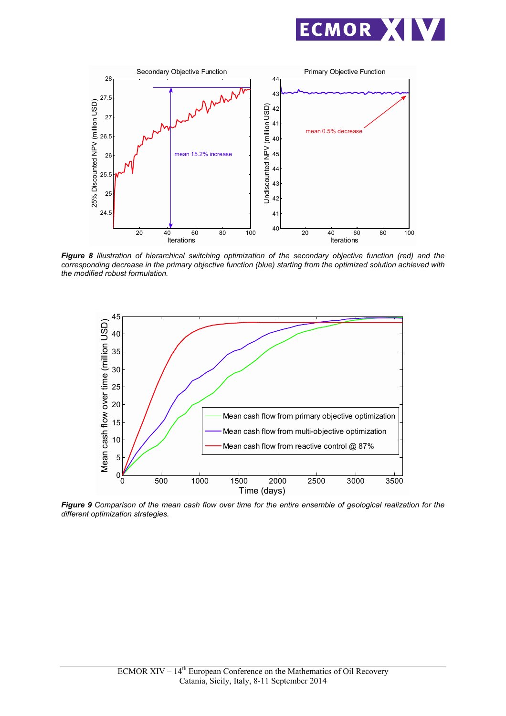



*Figure 8 Illustration of hierarchical switching optimization of the secondary objective function (red) and the corresponding decrease in the primary objective function (blue) starting from the optimized solution achieved with the modified robust formulation.* 



*Figure 9 Comparison of the mean cash flow over time for the entire ensemble of geological realization for the different optimization strategies.*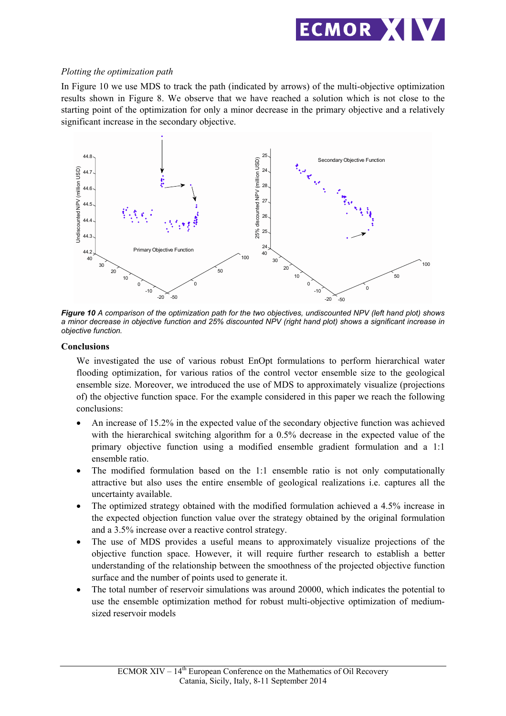

#### *Plotting the optimization path*

In Figure 10 we use MDS to track the path (indicated by arrows) of the multi-objective optimization results shown in Figure 8. We observe that we have reached a solution which is not close to the starting point of the optimization for only a minor decrease in the primary objective and a relatively significant increase in the secondary objective.



*Figure 10 A comparison of the optimization path for the two objectives, undiscounted NPV (left hand plot) shows a minor decrease in objective function and 25% discounted NPV (right hand plot) shows a significant increase in objective function.*

#### **Conclusions**

We investigated the use of various robust EnOpt formulations to perform hierarchical water flooding optimization, for various ratios of the control vector ensemble size to the geological ensemble size. Moreover, we introduced the use of MDS to approximately visualize (projections of) the objective function space. For the example considered in this paper we reach the following conclusions:

- An increase of 15.2% in the expected value of the secondary objective function was achieved with the hierarchical switching algorithm for a 0.5% decrease in the expected value of the primary objective function using a modified ensemble gradient formulation and a 1:1 ensemble ratio.
- $\bullet$  The modified formulation based on the 1:1 ensemble ratio is not only computationally attractive but also uses the entire ensemble of geological realizations i.e. captures all the uncertainty available.
- The optimized strategy obtained with the modified formulation achieved a 4.5% increase in the expected objection function value over the strategy obtained by the original formulation and a 3.5% increase over a reactive control strategy.
- The use of MDS provides a useful means to approximately visualize projections of the objective function space. However, it will require further research to establish a better understanding of the relationship between the smoothness of the projected objective function surface and the number of points used to generate it.
- The total number of reservoir simulations was around 20000, which indicates the potential to use the ensemble optimization method for robust multi-objective optimization of mediumsized reservoir models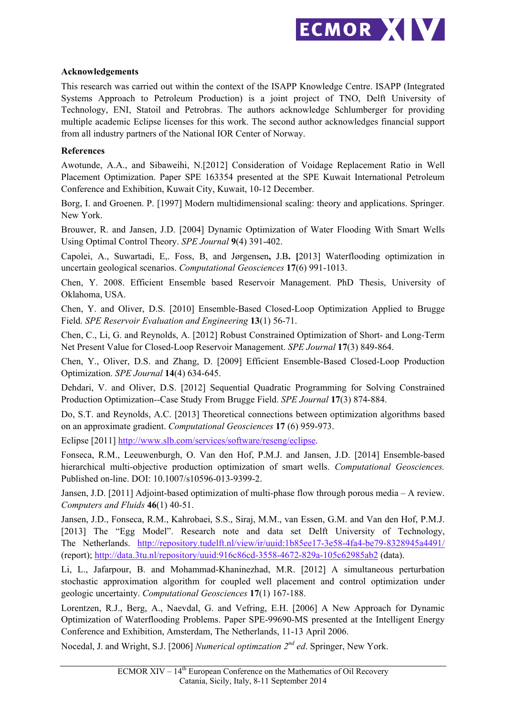

## **Acknowledgements**

This research was carried out within the context of the ISAPP Knowledge Centre. ISAPP (Integrated Systems Approach to Petroleum Production) is a joint project of TNO, Delft University of Technology, ENI, Statoil and Petrobras. The authors acknowledge Schlumberger for providing multiple academic Eclipse licenses for this work. The second author acknowledges financial support from all industry partners of the National IOR Center of Norway.

#### **References**

Awotunde, A.A., and Sibaweihi, N.[2012] Consideration of Voidage Replacement Ratio in Well Placement Optimization. Paper SPE 163354 presented at the SPE Kuwait International Petroleum Conference and Exhibition, Kuwait City, Kuwait, 10-12 December.

Borg, I. and Groenen. P. [1997] Modern multidimensional scaling: theory and applications. Springer. New York.

Brouwer, R. and Jansen, J.D. [2004] Dynamic Optimization of Water Flooding With Smart Wells Using Optimal Control Theory. *SPE Journal* **9**(4) 391-402.

Capolei, A., Suwartadi, E,. Foss, B, and Jørgensen**,** J.B**. [**2013] Waterflooding optimization in uncertain geological scenarios. *Computational Geosciences* **17**(6) 991-1013.

Chen, Y. 2008. Efficient Ensemble based Reservoir Management. PhD Thesis, University of Oklahoma, USA.

Chen, Y. and Oliver, D.S. [2010] Ensemble-Based Closed-Loop Optimization Applied to Brugge Field. *SPE Reservoir Evaluation and Engineering* **13**(1) 56-71.

Chen, C., Li, G. and Reynolds, A. [2012] Robust Constrained Optimization of Short- and Long-Term Net Present Value for Closed-Loop Reservoir Management. *SPE Journal* **17**(3) 849-864.

Chen, Y., Oliver, D.S. and Zhang, D. [2009] Efficient Ensemble-Based Closed-Loop Production Optimization. *SPE Journal* **14**(4) 634-645.

Dehdari, V. and Oliver, D.S. [2012] Sequential Quadratic Programming for Solving Constrained Production Optimization--Case Study From Brugge Field. *SPE Journal* **17**(3) 874-884.

Do, S.T. and Reynolds, A.C. [2013] Theoretical connections between optimization algorithms based on an approximate gradient. *Computational Geosciences* **17** (6) 959-973.

Eclipse [2011] http://www.slb.com/services/software/reseng/eclipse.

Fonseca, R.M., Leeuwenburgh, O. Van den Hof, P.M.J. and Jansen, J.D. [2014] Ensemble-based hierarchical multi-objective production optimization of smart wells. *Computational Geosciences.* Published on-line. DOI: 10.1007/s10596-013-9399-2.

Jansen, J.D. [2011] Adjoint-based optimization of multi-phase flow through porous media – A review. *Computers and Fluids* **46**(1) 40-51.

Jansen, J.D., Fonseca, R.M., Kahrobaei, S.S., Siraj, M.M., van Essen, G.M. and Van den Hof, P.M.J. [2013] The "Egg Model". Research note and data set Delft University of Technology, The Netherlands. http://repository.tudelft.nl/view/ir/uuid:1b85ee17-3e58-4fa4-be79-8328945a4491/ (report); http://data.3tu.nl/repository/uuid:916c86cd-3558-4672-829a-105c62985ab2 (data).

Li, L., Jafarpour, B. and Mohammad-Khaninezhad, M.R. [2012] A simultaneous perturbation stochastic approximation algorithm for coupled well placement and control optimization under geologic uncertainty. *Computational Geosciences* **17**(1) 167-188.

Lorentzen, R.J., Berg, A., Naevdal, G. and Vefring, E.H. [2006] A New Approach for Dynamic Optimization of Waterflooding Problems. Paper SPE-99690-MS presented at the Intelligent Energy Conference and Exhibition, Amsterdam, The Netherlands, 11-13 April 2006.

Nocedal, J. and Wright, S.J. [2006] *Numerical optimzation 2nd ed*. Springer, New York.